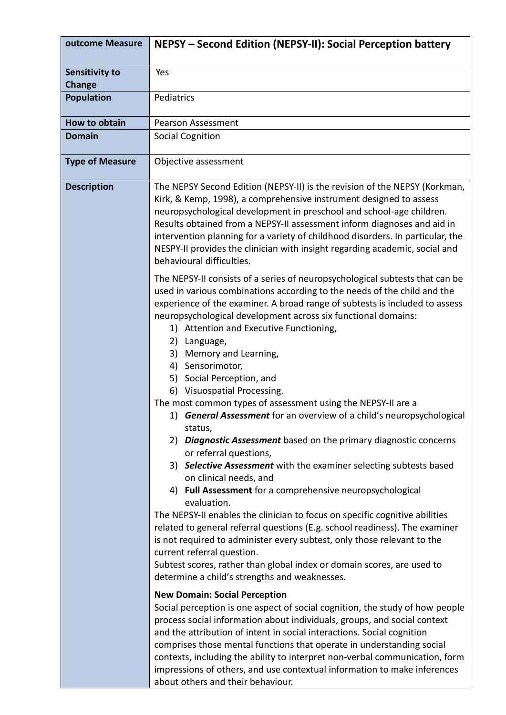| outcome Measure                        | NEPSY - Second Edition (NEPSY-II): Social Perception battery                                                                                                                                                                                                                                                                                                                                                                                                                                                                                                                                                                                                                                                                                                                                                                                                                                                                                                                                                                                                                                                                                                                                                                                                                                                          |
|----------------------------------------|-----------------------------------------------------------------------------------------------------------------------------------------------------------------------------------------------------------------------------------------------------------------------------------------------------------------------------------------------------------------------------------------------------------------------------------------------------------------------------------------------------------------------------------------------------------------------------------------------------------------------------------------------------------------------------------------------------------------------------------------------------------------------------------------------------------------------------------------------------------------------------------------------------------------------------------------------------------------------------------------------------------------------------------------------------------------------------------------------------------------------------------------------------------------------------------------------------------------------------------------------------------------------------------------------------------------------|
| <b>Sensitivity to</b><br><b>Change</b> | Yes                                                                                                                                                                                                                                                                                                                                                                                                                                                                                                                                                                                                                                                                                                                                                                                                                                                                                                                                                                                                                                                                                                                                                                                                                                                                                                                   |
| <b>Population</b>                      | Pediatrics                                                                                                                                                                                                                                                                                                                                                                                                                                                                                                                                                                                                                                                                                                                                                                                                                                                                                                                                                                                                                                                                                                                                                                                                                                                                                                            |
| <b>How to obtain</b>                   | <b>Pearson Assessment</b>                                                                                                                                                                                                                                                                                                                                                                                                                                                                                                                                                                                                                                                                                                                                                                                                                                                                                                                                                                                                                                                                                                                                                                                                                                                                                             |
| <b>Domain</b>                          | <b>Social Cognition</b>                                                                                                                                                                                                                                                                                                                                                                                                                                                                                                                                                                                                                                                                                                                                                                                                                                                                                                                                                                                                                                                                                                                                                                                                                                                                                               |
| <b>Type of Measure</b>                 | Objective assessment                                                                                                                                                                                                                                                                                                                                                                                                                                                                                                                                                                                                                                                                                                                                                                                                                                                                                                                                                                                                                                                                                                                                                                                                                                                                                                  |
| <b>Description</b>                     | The NEPSY Second Edition (NEPSY-II) is the revision of the NEPSY (Korkman,<br>Kirk, & Kemp, 1998), a comprehensive instrument designed to assess<br>neuropsychological development in preschool and school-age children.<br>Results obtained from a NEPSY-II assessment inform diagnoses and aid in<br>intervention planning for a variety of childhood disorders. In particular, the<br>NESPY-II provides the clinician with insight regarding academic, social and<br>behavioural difficulties.                                                                                                                                                                                                                                                                                                                                                                                                                                                                                                                                                                                                                                                                                                                                                                                                                     |
|                                        | The NEPSY-II consists of a series of neuropsychological subtests that can be<br>used in various combinations according to the needs of the child and the<br>experience of the examiner. A broad range of subtests is included to assess<br>neuropsychological development across six functional domains:<br>1) Attention and Executive Functioning,<br>2)<br>Language,<br>3)<br>Memory and Learning,<br>4) Sensorimotor,<br>5) Social Perception, and<br>6) Visuospatial Processing.<br>The most common types of assessment using the NEPSY-II are a<br>1) General Assessment for an overview of a child's neuropsychological<br>status,<br>2) Diagnostic Assessment based on the primary diagnostic concerns<br>or referral questions,<br>3) Selective Assessment with the examiner selecting subtests based<br>on clinical needs, and<br>4) Full Assessment for a comprehensive neuropsychological<br>evaluation.<br>The NEPSY-II enables the clinician to focus on specific cognitive abilities<br>related to general referral questions (E.g. school readiness). The examiner<br>is not required to administer every subtest, only those relevant to the<br>current referral question.<br>Subtest scores, rather than global index or domain scores, are used to<br>determine a child's strengths and weaknesses. |
|                                        | <b>New Domain: Social Perception</b><br>Social perception is one aspect of social cognition, the study of how people<br>process social information about individuals, groups, and social context<br>and the attribution of intent in social interactions. Social cognition<br>comprises those mental functions that operate in understanding social<br>contexts, including the ability to interpret non-verbal communication, form<br>impressions of others, and use contextual information to make inferences<br>about others and their behaviour.                                                                                                                                                                                                                                                                                                                                                                                                                                                                                                                                                                                                                                                                                                                                                                   |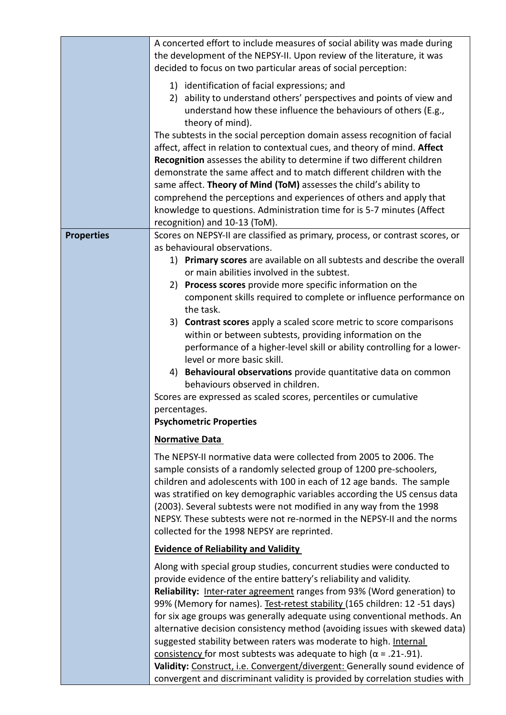|                   | A concerted effort to include measures of social ability was made during      |
|-------------------|-------------------------------------------------------------------------------|
|                   | the development of the NEPSY-II. Upon review of the literature, it was        |
|                   | decided to focus on two particular areas of social perception:                |
|                   | 1) identification of facial expressions; and                                  |
|                   | 2) ability to understand others' perspectives and points of view and          |
|                   | understand how these influence the behaviours of others (E.g.,                |
|                   | theory of mind).                                                              |
|                   | The subtests in the social perception domain assess recognition of facial     |
|                   | affect, affect in relation to contextual cues, and theory of mind. Affect     |
|                   | Recognition assesses the ability to determine if two different children       |
|                   | demonstrate the same affect and to match different children with the          |
|                   | same affect. Theory of Mind (ToM) assesses the child's ability to             |
|                   | comprehend the perceptions and experiences of others and apply that           |
|                   | knowledge to questions. Administration time for is 5-7 minutes (Affect        |
|                   | recognition) and 10-13 (ToM).                                                 |
| <b>Properties</b> | Scores on NEPSY-II are classified as primary, process, or contrast scores, or |
|                   | as behavioural observations.                                                  |
|                   | 1) Primary scores are available on all subtests and describe the overall      |
|                   | or main abilities involved in the subtest.                                    |
|                   | 2) Process scores provide more specific information on the                    |
|                   | component skills required to complete or influence performance on             |
|                   | the task.                                                                     |
|                   | 3) Contrast scores apply a scaled score metric to score comparisons           |
|                   | within or between subtests, providing information on the                      |
|                   | performance of a higher-level skill or ability controlling for a lower-       |
|                   | level or more basic skill.                                                    |
|                   | 4) Behavioural observations provide quantitative data on common               |
|                   | behaviours observed in children.                                              |
|                   | Scores are expressed as scaled scores, percentiles or cumulative              |
|                   | percentages.                                                                  |
|                   | <b>Psychometric Properties</b>                                                |
|                   | <b>Normative Data</b>                                                         |
|                   | The NEPSY-II normative data were collected from 2005 to 2006. The             |
|                   | sample consists of a randomly selected group of 1200 pre-schoolers,           |
|                   | children and adolescents with 100 in each of 12 age bands. The sample         |
|                   | was stratified on key demographic variables according the US census data      |
|                   | (2003). Several subtests were not modified in any way from the 1998           |
|                   | NEPSY. These subtests were not re-normed in the NEPSY-II and the norms        |
|                   | collected for the 1998 NEPSY are reprinted.                                   |
|                   | <b>Evidence of Reliability and Validity</b>                                   |
|                   | Along with special group studies, concurrent studies were conducted to        |
|                   | provide evidence of the entire battery's reliability and validity.            |
|                   | Reliability: Inter-rater agreement ranges from 93% (Word generation) to       |
|                   | 99% (Memory for names). Test-retest stability (165 children: 12 -51 days)     |
|                   | for six age groups was generally adequate using conventional methods. An      |
|                   | alternative decision consistency method (avoiding issues with skewed data)    |
|                   | suggested stability between raters was moderate to high. Internal             |
|                   | consistency for most subtests was adequate to high ( $\alpha$ = .21-.91).     |
|                   | Validity: Construct, i.e. Convergent/divergent: Generally sound evidence of   |
|                   | convergent and discriminant validity is provided by correlation studies with  |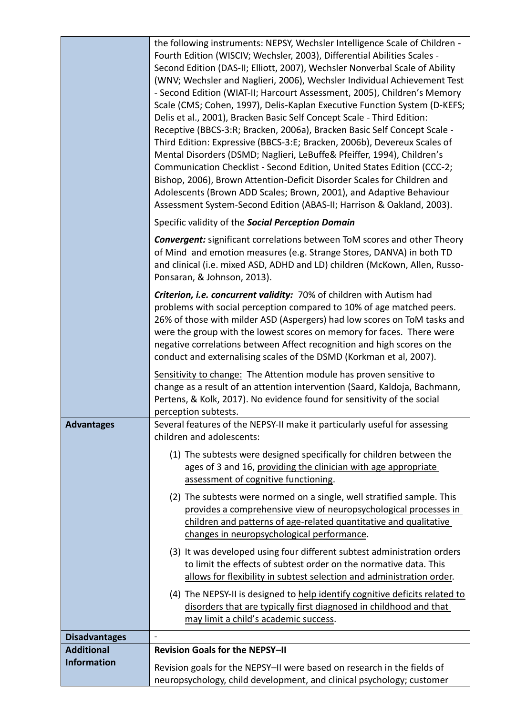|                      | the following instruments: NEPSY, Wechsler Intelligence Scale of Children -<br>Fourth Edition (WISCIV; Wechsler, 2003), Differential Abilities Scales -<br>Second Edition (DAS-II; Elliott, 2007), Wechsler Nonverbal Scale of Ability<br>(WNV; Wechsler and Naglieri, 2006), Wechsler Individual Achievement Test<br>- Second Edition (WIAT-II; Harcourt Assessment, 2005), Children's Memory<br>Scale (CMS; Cohen, 1997), Delis-Kaplan Executive Function System (D-KEFS;<br>Delis et al., 2001), Bracken Basic Self Concept Scale - Third Edition:<br>Receptive (BBCS-3:R; Bracken, 2006a), Bracken Basic Self Concept Scale -<br>Third Edition: Expressive (BBCS-3:E; Bracken, 2006b), Devereux Scales of<br>Mental Disorders (DSMD; Naglieri, LeBuffe& Pfeiffer, 1994), Children's<br>Communication Checklist - Second Edition, United States Edition (CCC-2;<br>Bishop, 2006), Brown Attention-Deficit Disorder Scales for Children and<br>Adolescents (Brown ADD Scales; Brown, 2001), and Adaptive Behaviour<br>Assessment System-Second Edition (ABAS-II; Harrison & Oakland, 2003). |
|----------------------|-----------------------------------------------------------------------------------------------------------------------------------------------------------------------------------------------------------------------------------------------------------------------------------------------------------------------------------------------------------------------------------------------------------------------------------------------------------------------------------------------------------------------------------------------------------------------------------------------------------------------------------------------------------------------------------------------------------------------------------------------------------------------------------------------------------------------------------------------------------------------------------------------------------------------------------------------------------------------------------------------------------------------------------------------------------------------------------------------|
|                      | Specific validity of the Social Perception Domain                                                                                                                                                                                                                                                                                                                                                                                                                                                                                                                                                                                                                                                                                                                                                                                                                                                                                                                                                                                                                                             |
|                      | <b>Convergent:</b> significant correlations between ToM scores and other Theory<br>of Mind and emotion measures (e.g. Strange Stores, DANVA) in both TD<br>and clinical (i.e. mixed ASD, ADHD and LD) children (McKown, Allen, Russo-<br>Ponsaran, & Johnson, 2013).                                                                                                                                                                                                                                                                                                                                                                                                                                                                                                                                                                                                                                                                                                                                                                                                                          |
|                      | Criterion, i.e. concurrent validity: 70% of children with Autism had<br>problems with social perception compared to 10% of age matched peers.<br>26% of those with milder ASD (Aspergers) had low scores on ToM tasks and<br>were the group with the lowest scores on memory for faces. There were<br>negative correlations between Affect recognition and high scores on the<br>conduct and externalising scales of the DSMD (Korkman et al, 2007).                                                                                                                                                                                                                                                                                                                                                                                                                                                                                                                                                                                                                                          |
|                      | Sensitivity to change: The Attention module has proven sensitive to<br>change as a result of an attention intervention (Saard, Kaldoja, Bachmann,<br>Pertens, & Kolk, 2017). No evidence found for sensitivity of the social<br>perception subtests.                                                                                                                                                                                                                                                                                                                                                                                                                                                                                                                                                                                                                                                                                                                                                                                                                                          |
| <b>Advantages</b>    | Several features of the NEPSY-II make it particularly useful for assessing<br>children and adolescents:                                                                                                                                                                                                                                                                                                                                                                                                                                                                                                                                                                                                                                                                                                                                                                                                                                                                                                                                                                                       |
|                      | (1) The subtests were designed specifically for children between the<br>ages of 3 and 16, providing the clinician with age appropriate<br>assessment of cognitive functioning.                                                                                                                                                                                                                                                                                                                                                                                                                                                                                                                                                                                                                                                                                                                                                                                                                                                                                                                |
|                      | (2) The subtests were normed on a single, well stratified sample. This<br>provides a comprehensive view of neuropsychological processes in<br>children and patterns of age-related quantitative and qualitative<br>changes in neuropsychological performance.                                                                                                                                                                                                                                                                                                                                                                                                                                                                                                                                                                                                                                                                                                                                                                                                                                 |
|                      | (3) It was developed using four different subtest administration orders<br>to limit the effects of subtest order on the normative data. This<br>allows for flexibility in subtest selection and administration order.                                                                                                                                                                                                                                                                                                                                                                                                                                                                                                                                                                                                                                                                                                                                                                                                                                                                         |
|                      | (4) The NEPSY-II is designed to help identify cognitive deficits related to<br>disorders that are typically first diagnosed in childhood and that<br>may limit a child's academic success.                                                                                                                                                                                                                                                                                                                                                                                                                                                                                                                                                                                                                                                                                                                                                                                                                                                                                                    |
| <b>Disadvantages</b> |                                                                                                                                                                                                                                                                                                                                                                                                                                                                                                                                                                                                                                                                                                                                                                                                                                                                                                                                                                                                                                                                                               |
| <b>Additional</b>    | <b>Revision Goals for the NEPSY-II</b>                                                                                                                                                                                                                                                                                                                                                                                                                                                                                                                                                                                                                                                                                                                                                                                                                                                                                                                                                                                                                                                        |
| <b>Information</b>   | Revision goals for the NEPSY-II were based on research in the fields of<br>neuropsychology, child development, and clinical psychology; customer                                                                                                                                                                                                                                                                                                                                                                                                                                                                                                                                                                                                                                                                                                                                                                                                                                                                                                                                              |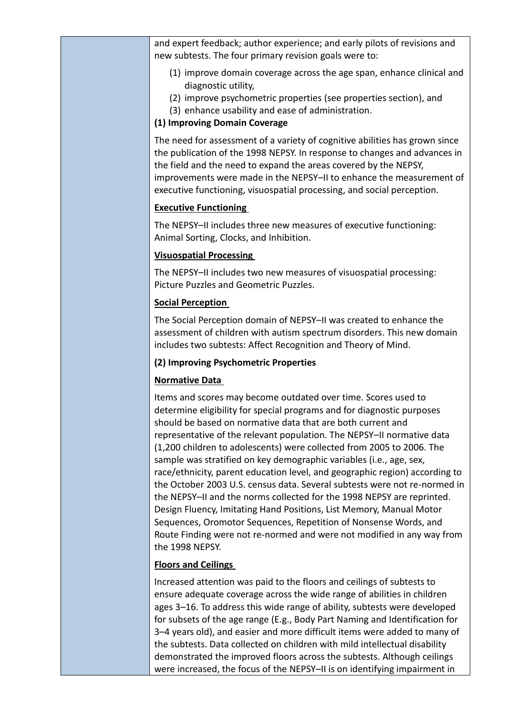and expert feedback; author experience; and early pilots of revisions and new subtests. The four primary revision goals were to:

- (1) improve domain coverage across the age span, enhance clinical and diagnostic utility,
- (2) improve psychometric properties (see properties section), and
- (3) enhance usability and ease of administration.

# **(1) Improving Domain Coverage**

The need for assessment of a variety of cognitive abilities has grown since the publication of the 1998 NEPSY. In response to changes and advances in the field and the need to expand the areas covered by the NEPSY, improvements were made in the NEPSY–II to enhance the measurement of executive functioning, visuospatial processing, and social perception.

# **Executive Functioning**

The NEPSY–II includes three new measures of executive functioning: Animal Sorting, Clocks, and Inhibition.

# **Visuospatial Processing**

The NEPSY–II includes two new measures of visuospatial processing: Picture Puzzles and Geometric Puzzles.

# **Social Perception**

The Social Perception domain of NEPSY–II was created to enhance the assessment of children with autism spectrum disorders. This new domain includes two subtests: Affect Recognition and Theory of Mind.

### **(2) Improving Psychometric Properties**

# **Normative Data**

Items and scores may become outdated over time. Scores used to determine eligibility for special programs and for diagnostic purposes should be based on normative data that are both current and representative of the relevant population. The NEPSY–II normative data (1,200 children to adolescents) were collected from 2005 to 2006. The sample was stratified on key demographic variables (i.e., age, sex, race/ethnicity, parent education level, and geographic region) according to the October 2003 U.S. census data. Several subtests were not re-normed in the NEPSY–II and the norms collected for the 1998 NEPSY are reprinted. Design Fluency, Imitating Hand Positions, List Memory, Manual Motor Sequences, Oromotor Sequences, Repetition of Nonsense Words, and Route Finding were not re-normed and were not modified in any way from the 1998 NEPSY.

# **Floors and Ceilings**

Increased attention was paid to the floors and ceilings of subtests to ensure adequate coverage across the wide range of abilities in children ages 3–16. To address this wide range of ability, subtests were developed for subsets of the age range (E.g., Body Part Naming and Identification for 3–4 years old), and easier and more difficult items were added to many of the subtests. Data collected on children with mild intellectual disability demonstrated the improved floors across the subtests. Although ceilings were increased, the focus of the NEPSY–II is on identifying impairment in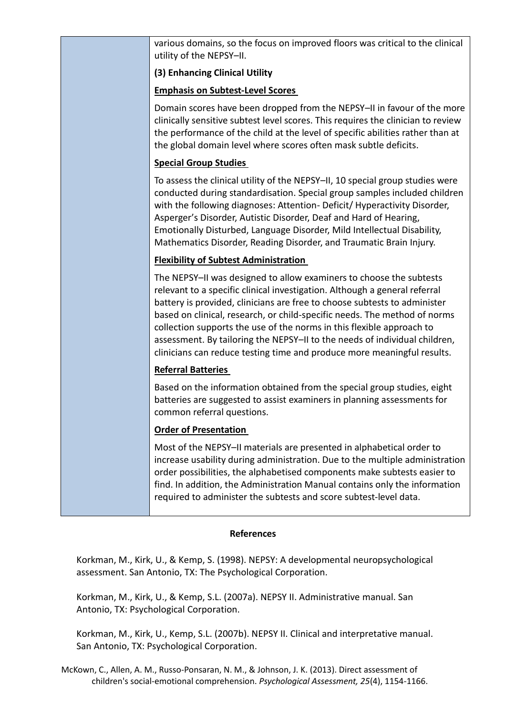| various domains, so the focus on improved floors was critical to the clinical<br>utility of the NEPSY-II.                                                                                                                                                                                                                                                                                                                                                                                                                                     |
|-----------------------------------------------------------------------------------------------------------------------------------------------------------------------------------------------------------------------------------------------------------------------------------------------------------------------------------------------------------------------------------------------------------------------------------------------------------------------------------------------------------------------------------------------|
| (3) Enhancing Clinical Utility                                                                                                                                                                                                                                                                                                                                                                                                                                                                                                                |
| <b>Emphasis on Subtest-Level Scores</b>                                                                                                                                                                                                                                                                                                                                                                                                                                                                                                       |
| Domain scores have been dropped from the NEPSY-II in favour of the more<br>clinically sensitive subtest level scores. This requires the clinician to review<br>the performance of the child at the level of specific abilities rather than at<br>the global domain level where scores often mask subtle deficits.                                                                                                                                                                                                                             |
| <b>Special Group Studies</b>                                                                                                                                                                                                                                                                                                                                                                                                                                                                                                                  |
| To assess the clinical utility of the NEPSY-II, 10 special group studies were<br>conducted during standardisation. Special group samples included children<br>with the following diagnoses: Attention- Deficit/ Hyperactivity Disorder,<br>Asperger's Disorder, Autistic Disorder, Deaf and Hard of Hearing,<br>Emotionally Disturbed, Language Disorder, Mild Intellectual Disability,<br>Mathematics Disorder, Reading Disorder, and Traumatic Brain Injury.                                                                                |
| <b>Flexibility of Subtest Administration</b>                                                                                                                                                                                                                                                                                                                                                                                                                                                                                                  |
| The NEPSY-II was designed to allow examiners to choose the subtests<br>relevant to a specific clinical investigation. Although a general referral<br>battery is provided, clinicians are free to choose subtests to administer<br>based on clinical, research, or child-specific needs. The method of norms<br>collection supports the use of the norms in this flexible approach to<br>assessment. By tailoring the NEPSY-II to the needs of individual children,<br>clinicians can reduce testing time and produce more meaningful results. |
| <b>Referral Batteries</b>                                                                                                                                                                                                                                                                                                                                                                                                                                                                                                                     |
| Based on the information obtained from the special group studies, eight<br>batteries are suggested to assist examiners in planning assessments for<br>common referral questions.                                                                                                                                                                                                                                                                                                                                                              |
| <b>Order of Presentation</b>                                                                                                                                                                                                                                                                                                                                                                                                                                                                                                                  |
| Most of the NEPSY-II materials are presented in alphabetical order to<br>increase usability during administration. Due to the multiple administration<br>order possibilities, the alphabetised components make subtests easier to                                                                                                                                                                                                                                                                                                             |

#### **References**

find. In addition, the Administration Manual contains only the information

required to administer the subtests and score subtest-level data.

Korkman, M., Kirk, U., & Kemp, S. (1998). NEPSY: A developmental neuropsychological assessment. San Antonio, TX: The Psychological Corporation.

Korkman, M., Kirk, U., & Kemp, S.L. (2007a). NEPSY II. Administrative manual. San Antonio, TX: Psychological Corporation.

Korkman, M., Kirk, U., Kemp, S.L. (2007b). NEPSY II. Clinical and interpretative manual. San Antonio, TX: Psychological Corporation.